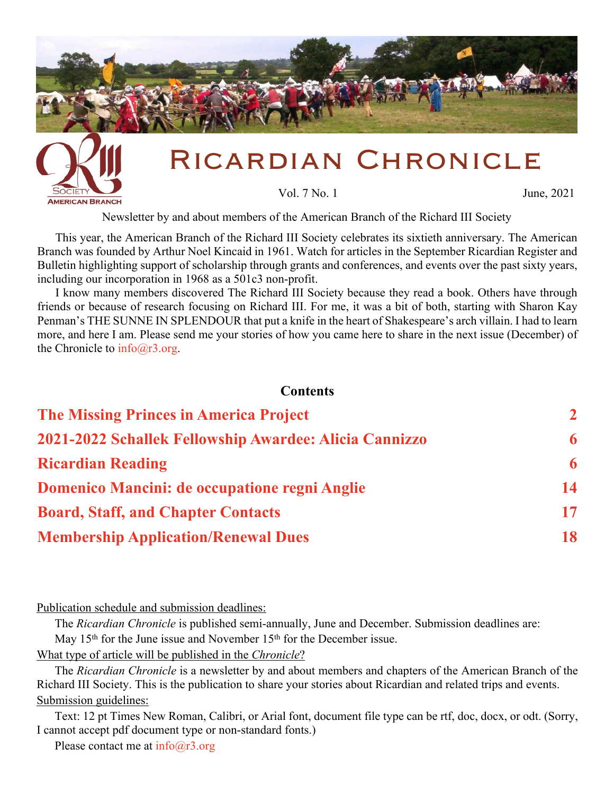<span id="page-0-0"></span>

Newsletter by and about members of the American Branch of the Richard III Society

This year, the American Branch of the Richard III Society celebrates its sixtieth anniversary. The American Branch was founded by Arthur Noel Kincaid in 1961. Watch for articles in the September Ricardian Register and Bulletin highlighting support of scholarship through grants and conferences, and events over the past sixty years, including our incorporation in 1968 as a 501c3 non-profit.

I know many members discovered The Richard III Society because they read a book. Others have through friends or because of research focusing on Richard III. For me, it was a bit of both, starting with Sharon Kay Penman's THE SUNNE IN SPLENDOUR that put a knife in the heart of Shakespeare's arch villain. I had to learn more, and here I am. Please send me your stories of how you came here to share in the next issue (December) of the Chronicle to  $info@r3.org$ .

#### **Contents**

| <b>The Missing Princes in America Project</b>          | $\overline{2}$ |
|--------------------------------------------------------|----------------|
| 2021-2022 Schallek Fellowship Awardee: Alicia Cannizzo | 6              |
| <b>Ricardian Reading</b>                               | 6              |
| Domenico Mancini: de occupatione regni Anglie          | 14             |
| <b>Board, Staff, and Chapter Contacts</b>              | 17             |
| <b>Membership Application/Renewal Dues</b>             | 18             |

Publication schedule and submission deadlines:

**AMERICAN BRANCH** 

The *Ricardian Chronicle* is published semi-annually, June and December. Submission deadlines are: May  $15<sup>th</sup>$  for the June issue and November  $15<sup>th</sup>$  for the December issue.

What type of article will be published in the *Chronicle*?

The *Ricardian Chronicle* is a newsletter by and about members and chapters of the American Branch of the Richard III Society. This is the publication to share your stories about Ricardian and related trips and events. Submission guidelines:

Text: 12 pt Times New Roman, Calibri, or Arial font, document file type can be rtf, doc, docx, or odt. (Sorry, I cannot accept pdf document type or non-standard fonts.)

Please contact me at  $info@r3.org$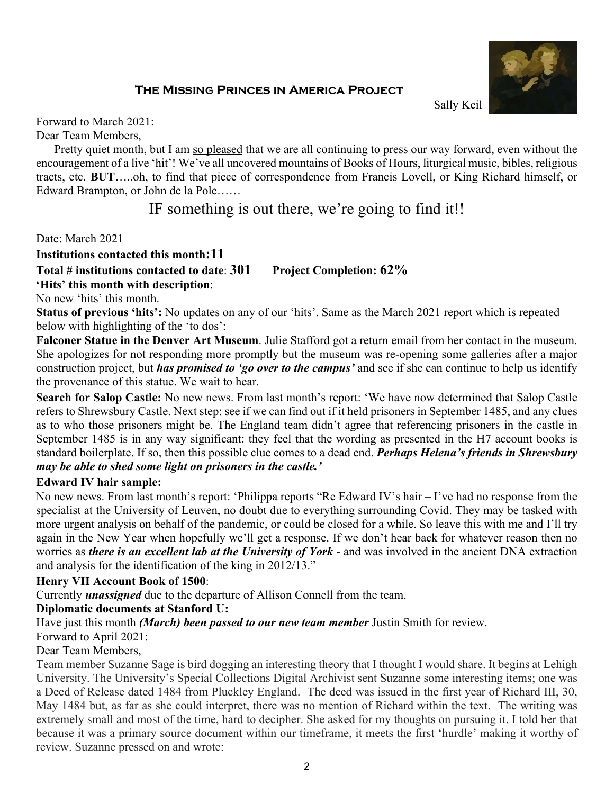# THE MISSING PRINCES IN AMERICA PROJECT



Sally Keil

<span id="page-1-0"></span>Forward to March 2021:

Dear Team Members,

Pretty quiet month, but I am so pleased that we are all continuing to press our way forward, even without the encouragement of a live 'hit'! We've all uncovered mountains of Books of Hours, liturgical music, bibles, religious tracts, etc. **BUT**…..oh, to find that piece of correspondence from Francis Lovell, or King Richard himself, or Edward Brampton, or John de la Pole……

# IF something is out there, we're going to find it!!

Date: March 2021

### **Institutions contacted this month:11**

**Total # institutions contacted to date**: **301 Project Completion: 62%**

**'Hits' this month with description**:

No new 'hits' this month.

**Status of previous 'hits':** No updates on any of our 'hits'. Same as the March 2021 report which is repeated below with highlighting of the 'to dos':

**Falconer Statue in the Denver Art Museum**. Julie Stafford got a return email from her contact in the museum. She apologizes for not responding more promptly but the museum was re-opening some galleries after a major construction project, but *has promised to 'go over to the campus'* and see if she can continue to help us identify the provenance of this statue. We wait to hear.

**Search for Salop Castle:** No new news. From last month's report: 'We have now determined that Salop Castle refers to Shrewsbury Castle. Next step: see if we can find out if it held prisoners in September 1485, and any clues as to who those prisoners might be. The England team didn't agree that referencing prisoners in the castle in September 1485 is in any way significant: they feel that the wording as presented in the H7 account books is standard boilerplate. If so, then this possible clue comes to a dead end. *Perhaps Helena's friends in Shrewsbury may be able to shed some light on prisoners in the castle.'*

# **Edward IV hair sample:**

No new news. From last month's report: 'Philippa reports "Re Edward IV's hair – I've had no response from the specialist at the University of Leuven, no doubt due to everything surrounding Covid. They may be tasked with more urgent analysis on behalf of the pandemic, or could be closed for a while. So leave this with me and I'll try again in the New Year when hopefully we'll get a response. If we don't hear back for whatever reason then no worries as *there is an excellent lab at the University of York* - and was involved in the ancient DNA extraction and analysis for the identification of the king in 2012/13."

# **Henry VII Account Book of 1500**:

Currently *unassigned* due to the departure of Allison Connell from the team.

# **Diplomatic documents at Stanford U:**

Have just this month *(March) been passed to our new team member* Justin Smith for review.

Forward to April 2021:

# Dear Team Members,

Team member Suzanne Sage is bird dogging an interesting theory that I thought I would share. It begins at Lehigh University. The University's Special Collections Digital Archivist sent Suzanne some interesting items; one was a Deed of Release dated 1484 from Pluckley England. The deed was issued in the first year of Richard III, 30, May 1484 but, as far as she could interpret, there was no mention of Richard within the text. The writing was extremely small and most of the time, hard to decipher. She asked for my thoughts on pursuing it. I told her that because it was a primary source document within our timeframe, it meets the first 'hurdle' making it worthy of review. Suzanne pressed on and wrote: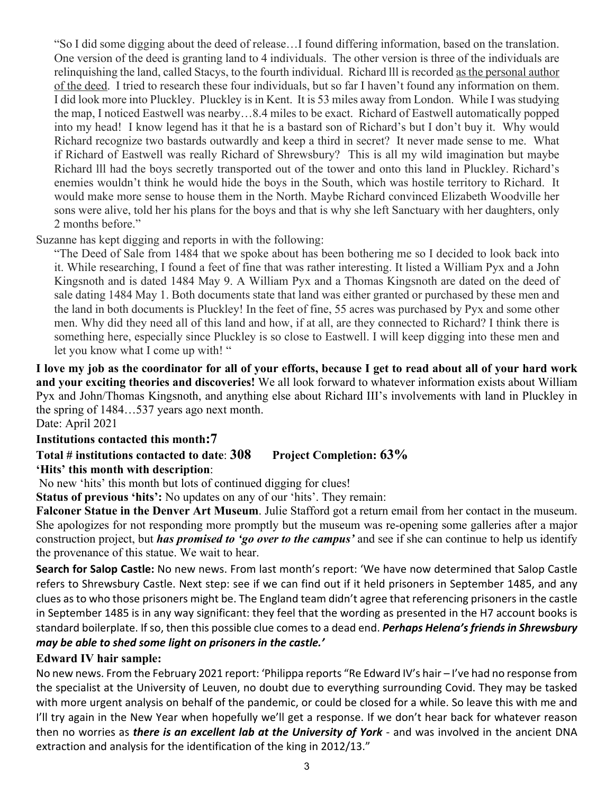"So I did some digging about the deed of release…I found differing information, based on the translation. One version of the deed is granting land to 4 individuals. The other version is three of the individuals are relinquishing the land, called Stacys, to the fourth individual. Richard lll is recorded as the personal author of the deed. I tried to research these four individuals, but so far I haven't found any information on them. I did look more into Pluckley. Pluckley is in Kent. It is 53 miles away from London. While I was studying the map, I noticed Eastwell was nearby…8.4 miles to be exact. Richard of Eastwell automatically popped into my head! I know legend has it that he is a bastard son of Richard's but I don't buy it. Why would Richard recognize two bastards outwardly and keep a third in secret? It never made sense to me. What if Richard of Eastwell was really Richard of Shrewsbury? This is all my wild imagination but maybe Richard lll had the boys secretly transported out of the tower and onto this land in Pluckley. Richard's enemies wouldn't think he would hide the boys in the South, which was hostile territory to Richard. It would make more sense to house them in the North. Maybe Richard convinced Elizabeth Woodville her sons were alive, told her his plans for the boys and that is why she left Sanctuary with her daughters, only 2 months before."

Suzanne has kept digging and reports in with the following:

"The Deed of Sale from 1484 that we spoke about has been bothering me so I decided to look back into it. While researching, I found a feet of fine that was rather interesting. It listed a William Pyx and a John Kingsnoth and is dated 1484 May 9. A William Pyx and a Thomas Kingsnoth are dated on the deed of sale dating 1484 May 1. Both documents state that land was either granted or purchased by these men and the land in both documents is Pluckley! In the feet of fine, 55 acres was purchased by Pyx and some other men. Why did they need all of this land and how, if at all, are they connected to Richard? I think there is something here, especially since Pluckley is so close to Eastwell. I will keep digging into these men and let you know what I come up with! "

**I love my job as the coordinator for all of your efforts, because I get to read about all of your hard work and your exciting theories and discoveries!** We all look forward to whatever information exists about William Pyx and John/Thomas Kingsnoth, and anything else about Richard III's involvements with land in Pluckley in the spring of 1484…537 years ago next month.

Date: April 2021

# **Institutions contacted this month:7**

**Total # institutions contacted to date**: **308 Project Completion: 63% 'Hits' this month with description**:

No new 'hits' this month but lots of continued digging for clues!

**Status of previous 'hits':** No updates on any of our 'hits'. They remain:

**Falconer Statue in the Denver Art Museum**. Julie Stafford got a return email from her contact in the museum. She apologizes for not responding more promptly but the museum was re-opening some galleries after a major construction project, but *has promised to 'go over to the campus'* and see if she can continue to help us identify the provenance of this statue. We wait to hear.

**Search for Salop Castle:** No new news. From last month's report: 'We have now determined that Salop Castle refers to Shrewsbury Castle. Next step: see if we can find out if it held prisoners in September 1485, and any clues as to who those prisoners might be. The England team didn't agree that referencing prisoners in the castle in September 1485 is in any way significant: they feel that the wording as presented in the H7 account books is standard boilerplate. If so, then this possible clue comes to a dead end. *Perhaps Helena's friends in Shrewsbury may be able to shed some light on prisoners in the castle.'*

# **Edward IV hair sample:**

No new news. From the February 2021 report: 'Philippa reports "Re Edward IV's hair – I've had no response from the specialist at the University of Leuven, no doubt due to everything surrounding Covid. They may be tasked with more urgent analysis on behalf of the pandemic, or could be closed for a while. So leave this with me and I'll try again in the New Year when hopefully we'll get a response. If we don't hear back for whatever reason then no worries as *there is an excellent lab at the University of York* - and was involved in the ancient DNA extraction and analysis for the identification of the king in 2012/13."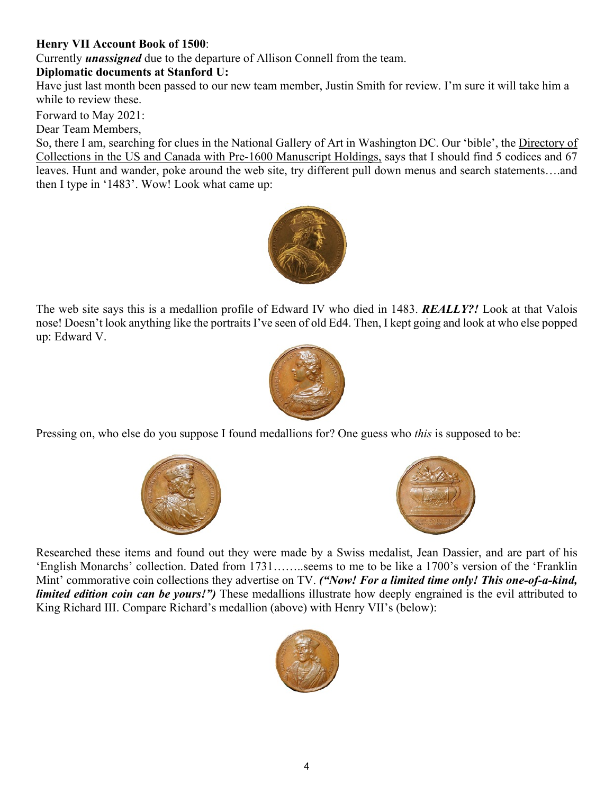# **Henry VII Account Book of 1500**:

Currently *unassigned* due to the departure of Allison Connell from the team.

# **Diplomatic documents at Stanford U:**

Have just last month been passed to our new team member, Justin Smith for review. I'm sure it will take him a while to review these.

Forward to May 2021:

Dear Team Members,

So, there I am, searching for clues in the National Gallery of Art in Washington DC. Our 'bible', the Directory of Collections in the US and Canada with Pre-1600 Manuscript Holdings, says that I should find 5 codices and 67 leaves. Hunt and wander, poke around the web site, try different pull down menus and search statements….and then I type in '1483'. Wow! Look what came up:



The web site says this is a medallion profile of Edward IV who died in 1483. *REALLY?!* Look at that Valois nose! Doesn't look anything like the portraits I've seen of old Ed4. Then, I kept going and look at who else popped up: Edward V.



Pressing on, who else do you suppose I found medallions for? One guess who *this* is supposed to be:





Researched these items and found out they were made by a Swiss medalist, Jean Dassier, and are part of his 'English Monarchs' collection. Dated from 1731……..seems to me to be like a 1700's version of the 'Franklin Mint' commorative coin collections they advertise on TV. *("Now! For a limited time only! This one-of-a-kind, limited edition coin can be yours!")* These medallions illustrate how deeply engrained is the evil attributed to King Richard III. Compare Richard's medallion (above) with Henry VII's (below):

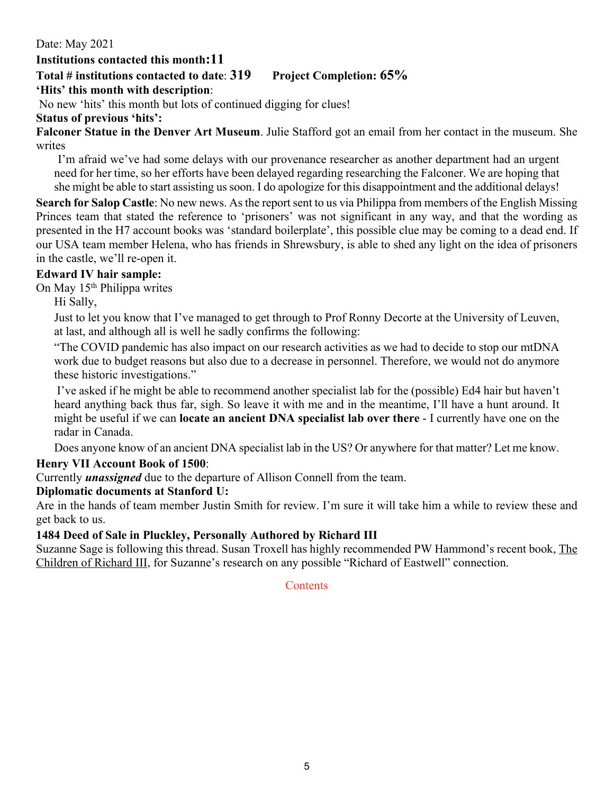Date: May 2021

# **Institutions contacted this month:11**

# **Total # institutions contacted to date**: **319 Project Completion: 65%**

# **'Hits' this month with description**:

No new 'hits' this month but lots of continued digging for clues!

# **Status of previous 'hits':**

**Falconer Statue in the Denver Art Museum**. Julie Stafford got an email from her contact in the museum. She writes

I'm afraid we've had some delays with our provenance researcher as another department had an urgent need for her time, so her efforts have been delayed regarding researching the Falconer. We are hoping that she might be able to start assisting us soon. I do apologize for this disappointment and the additional delays!

**Search for Salop Castle**: No new news. As the report sent to us via Philippa from members of the English Missing Princes team that stated the reference to 'prisoners' was not significant in any way, and that the wording as presented in the H7 account books was 'standard boilerplate', this possible clue may be coming to a dead end. If our USA team member Helena, who has friends in Shrewsbury, is able to shed any light on the idea of prisoners in the castle, we'll re-open it.

# **Edward IV hair sample:**

On May 15th Philippa writes

Hi Sally,

Just to let you know that I've managed to get through to Prof Ronny Decorte at the University of Leuven, at last, and although all is well he sadly confirms the following:

"The COVID pandemic has also impact on our research activities as we had to decide to stop our mtDNA work due to budget reasons but also due to a decrease in personnel. Therefore, we would not do anymore these historic investigations."

 I've asked if he might be able to recommend another specialist lab for the (possible) Ed4 hair but haven't heard anything back thus far, sigh. So leave it with me and in the meantime, I'll have a hunt around. It might be useful if we can **locate an ancient DNA specialist lab over there** - I currently have one on the radar in Canada.

Does anyone know of an ancient DNA specialist lab in the US? Or anywhere for that matter? Let me know.

# **Henry VII Account Book of 1500**:

Currently *unassigned* due to the departure of Allison Connell from the team.

# **Diplomatic documents at Stanford U:**

Are in the hands of team member Justin Smith for review. I'm sure it will take him a while to review these and get back to us.

# **1484 Deed of Sale in Pluckley, Personally Authored by Richard III**

Suzanne Sage is following this thread. Susan Troxell has highly recommended PW Hammond's recent book, The Children of Richard III, for Suzanne's research on any possible "Richard of Eastwell" connection.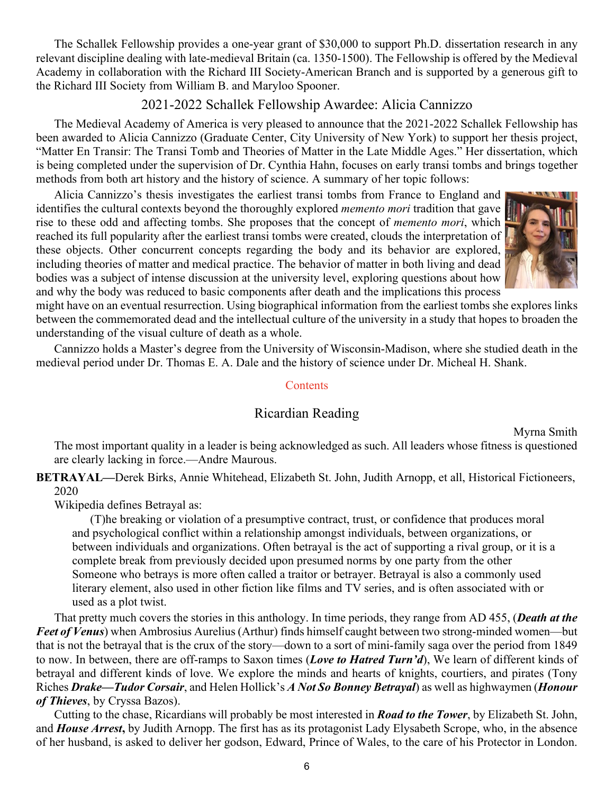<span id="page-5-0"></span>The Schallek Fellowship provides a one-year grant of \$30,000 to support Ph.D. dissertation research in any relevant discipline dealing with late-medieval Britain (ca. 1350-1500). The Fellowship is offered by the Medieval Academy in collaboration with the Richard III Society-American Branch and is supported by a generous gift to the Richard III Society from William B. and Maryloo Spooner.

# 2021-2022 Schallek Fellowship Awardee: Alicia Cannizzo

The Medieval Academy of America is very pleased to announce that the 2021-2022 Schallek Fellowship has been awarded to Alicia Cannizzo (Graduate Center, City University of New York) to support her thesis project, "Matter En Transir: The Transi Tomb and Theories of Matter in the Late Middle Ages." Her dissertation, which is being completed under the supervision of Dr. Cynthia Hahn, focuses on early transi tombs and brings together methods from both art history and the history of science. A summary of her topic follows:

Alicia Cannizzo's thesis investigates the earliest transi tombs from France to England and identifies the cultural contexts beyond the thoroughly explored *memento mori* tradition that gave rise to these odd and affecting tombs. She proposes that the concept of *memento mori*, which reached its full popularity after the earliest transi tombs were created, clouds the interpretation of these objects. Other concurrent concepts regarding the body and its behavior are explored, including theories of matter and medical practice. The behavior of matter in both living and dead bodies was a subject of intense discussion at the university level, exploring questions about how and why the body was reduced to basic components after death and the implications this process



might have on an eventual resurrection. Using biographical information from the earliest tombs she explores links between the commemorated dead and the intellectual culture of the university in a study that hopes to broaden the understanding of the visual culture of death as a whole.

Cannizzo holds a Master's degree from the University of Wisconsin-Madison, where she studied death in the medieval period under Dr. Thomas E. A. Dale and the history of science under Dr. Micheal H. Shank.

#### **[Contents](#page-0-0)**

### Ricardian Reading

Myrna Smith

The most important quality in a leader is being acknowledged as such. All leaders whose fitness is questioned are clearly lacking in force.—Andre Maurous.

**BETRAYAL—**Derek Birks, Annie Whitehead, Elizabeth St. John, Judith Arnopp, et all, Historical Fictioneers, 2020

Wikipedia defines Betrayal as:

(T)he breaking or violation of a presumptive contract, trust, or confidence that produces moral and psychological conflict within a relationship amongst individuals, between organizations, or between individuals and organizations. Often betrayal is the act of supporting a rival group, or it is a complete break from previously decided upon presumed norms by one party from the other Someone who betrays is more often called a traitor or betrayer. Betrayal is also a commonly used literary element, also used in other fiction like films and TV series, and is often associated with or used as a plot twist.

That pretty much covers the stories in this anthology. In time periods, they range from AD 455, (*Death at the Feet of Venus*) when Ambrosius Aurelius (Arthur) finds himself caught between two strong-minded women—but that is not the betrayal that is the crux of the story—down to a sort of mini-family saga over the period from 1849 to now. In between, there are off-ramps to Saxon times (*Love to Hatred Turn'd*), We learn of different kinds of betrayal and different kinds of love. We explore the minds and hearts of knights, courtiers, and pirates (Tony Riches *Drake—Tudor Corsair*, and Helen Hollick's *A Not So Bonney Betrayal*) as well as highwaymen (*Honour of Thieves*, by Cryssa Bazos).

Cutting to the chase, Ricardians will probably be most interested in *Road to the Tower*, by Elizabeth St. John, and *House Arrest***,** by Judith Arnopp. The first has as its protagonist Lady Elysabeth Scrope, who, in the absence of her husband, is asked to deliver her godson, Edward, Prince of Wales, to the care of his Protector in London.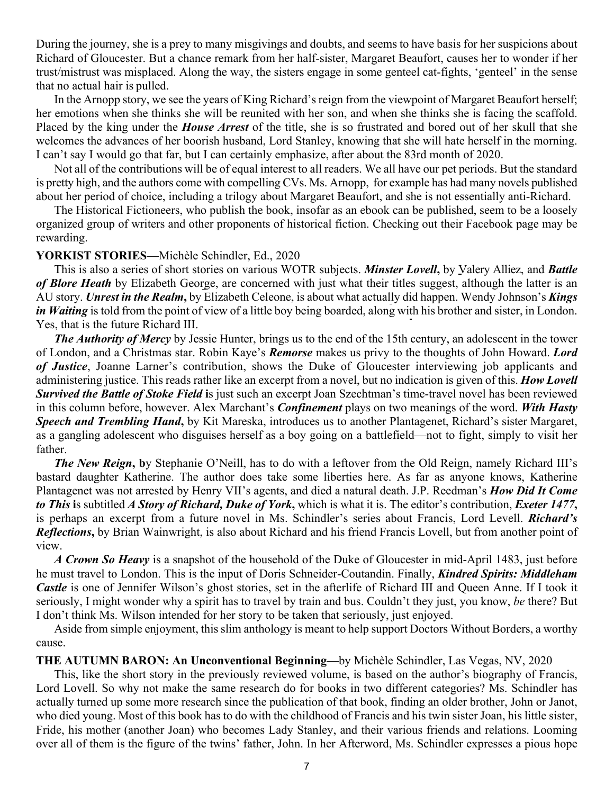During the journey, she is a prey to many misgivings and doubts, and seems to have basis for her suspicions about Richard of Gloucester. But a chance remark from her half-sister, Margaret Beaufort, causes her to wonder if her trust/mistrust was misplaced. Along the way, the sisters engage in some genteel cat-fights, 'genteel' in the sense that no actual hair is pulled.

In the Arnopp story, we see the years of King Richard's reign from the viewpoint of Margaret Beaufort herself; her emotions when she thinks she will be reunited with her son, and when she thinks she is facing the scaffold. Placed by the king under the *House Arrest* of the title, she is so frustrated and bored out of her skull that she welcomes the advances of her boorish husband, Lord Stanley, knowing that she will hate herself in the morning. I can't say I would go that far, but I can certainly emphasize, after about the 83rd month of 2020.

Not all of the contributions will be of equal interest to all readers. We all have our pet periods. But the standard is pretty high, and the authors come with compelling CVs. Ms. Arnopp, for example has had many novels published about her period of choice, including a trilogy about Margaret Beaufort, and she is not essentially anti-Richard.

The Historical Fictioneers, who publish the book, insofar as an ebook can be published, seem to be a loosely organized group of writers and other proponents of historical fiction. Checking out their Facebook page may be rewarding.

#### **YORKIST STORIES—**Michèle Schindler, Ed., 2020

This is also a series of short stories on various WOTR subjects. *Minster Lovell***,** by Valery Alliez, and *Battle of Blore Heath* by Elizabeth George, are concerned with just what their titles suggest, although the latter is an AU story. *Unrest in the Realm***,** by Elizabeth Celeone, is about what actually did happen. Wendy Johnson's *Kings in Waiting* is told from the point of view of a little boy being boarded, along with his brother and sister, in London. Yes, that is the future Richard III.

*The Authority of Mercy* by Jessie Hunter, brings us to the end of the 15th century, an adolescent in the tower of London, and a Christmas star. Robin Kaye's *Remorse* makes us privy to the thoughts of John Howard. *Lord of Justice*, Joanne Larner's contribution, shows the Duke of Gloucester interviewing job applicants and administering justice. This reads rather like an excerpt from a novel, but no indication is given of this. *How Lovell* **Survived the Battle of Stoke Field is just such an excerpt Joan Szechtman's time-travel novel has been reviewed** in this column before, however. Alex Marchant's *Confinement* plays on two meanings of the word. *With Hasty Speech and Trembling Hand***,** by Kit Mareska, introduces us to another Plantagenet, Richard's sister Margaret, as a gangling adolescent who disguises herself as a boy going on a battlefield—not to fight, simply to visit her father.

*The New Reign***, b**y Stephanie O'Neill, has to do with a leftover from the Old Reign, namely Richard III's bastard daughter Katherine. The author does take some liberties here. As far as anyone knows, Katherine Plantagenet was not arrested by Henry VII's agents, and died a natural death. J.P. Reedman's *How Did It Come to This* **i**s subtitled *A Story of Richard, Duke of York***,** which is what it is. The editor's contribution, *Exeter 1477***,** is perhaps an excerpt from a future novel in Ms. Schindler's series about Francis, Lord Levell. *Richard's Reflections***,** by Brian Wainwright, is also about Richard and his friend Francis Lovell, but from another point of view.

*A Crown So Heavy* is a snapshot of the household of the Duke of Gloucester in mid-April 1483, just before he must travel to London. This is the input of Doris Schneider-Coutandin. Finally, *Kindred Spirits: Middleham Castle* is one of Jennifer Wilson's ghost stories, set in the afterlife of Richard III and Queen Anne. If I took it seriously, I might wonder why a spirit has to travel by train and bus. Couldn't they just, you know, *be* there? But I don't think Ms. Wilson intended for her story to be taken that seriously, just enjoyed.

Aside from simple enjoyment, this slim anthology is meant to help support Doctors Without Borders, a worthy cause.

#### **THE AUTUMN BARON: An Unconventional Beginning—**by Michèle Schindler, Las Vegas, NV, 2020

This, like the short story in the previously reviewed volume, is based on the author's biography of Francis, Lord Lovell. So why not make the same research do for books in two different categories? Ms. Schindler has actually turned up some more research since the publication of that book, finding an older brother, John or Janot, who died young. Most of this book has to do with the childhood of Francis and his twin sister Joan, his little sister, Fride, his mother (another Joan) who becomes Lady Stanley, and their various friends and relations. Looming over all of them is the figure of the twins' father, John. In her Afterword, Ms. Schindler expresses a pious hope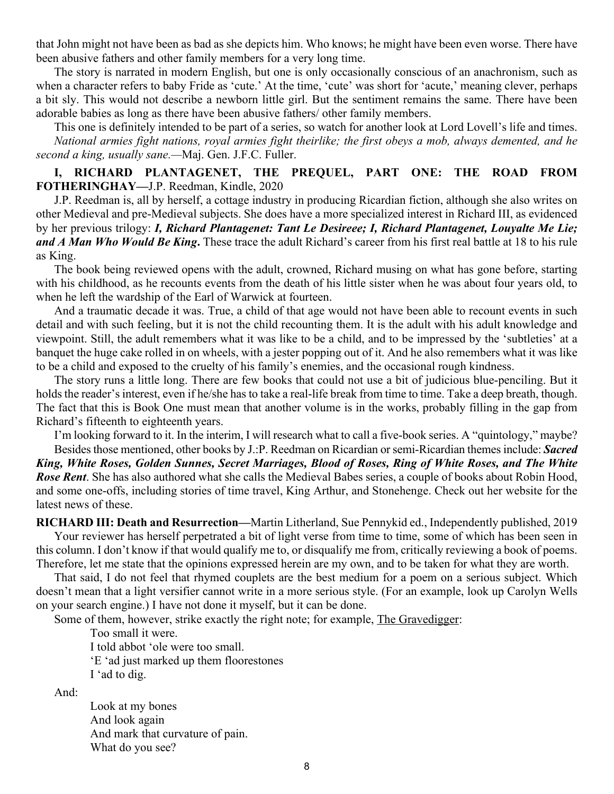that John might not have been as bad as she depicts him. Who knows; he might have been even worse. There have been abusive fathers and other family members for a very long time.

The story is narrated in modern English, but one is only occasionally conscious of an anachronism, such as when a character refers to baby Fride as 'cute.' At the time, 'cute' was short for 'acute,' meaning clever, perhaps a bit sly. This would not describe a newborn little girl. But the sentiment remains the same. There have been adorable babies as long as there have been abusive fathers/ other family members.

This one is definitely intended to be part of a series, so watch for another look at Lord Lovell's life and times. *National armies fight nations, royal armies fight theirlike; the first obeys a mob, always demented, and he second a king, usually sane.—*Maj. Gen. J.F.C. Fuller.

### **I, RICHARD PLANTAGENET, THE PREQUEL, PART ONE: THE ROAD FROM FOTHERINGHAY—**J.P. Reedman, Kindle, 2020

J.P. Reedman is, all by herself, a cottage industry in producing Ricardian fiction, although she also writes on other Medieval and pre-Medieval subjects. She does have a more specialized interest in Richard III, as evidenced by her previous trilogy: *I, Richard Plantagenet: Tant Le Desireee; I, Richard Plantagenet, Louyalte Me Lie; and A Man Who Would Be King***.** These trace the adult Richard's career from his first real battle at 18 to his rule as King.

The book being reviewed opens with the adult, crowned, Richard musing on what has gone before, starting with his childhood, as he recounts events from the death of his little sister when he was about four years old, to when he left the wardship of the Earl of Warwick at fourteen.

And a traumatic decade it was. True, a child of that age would not have been able to recount events in such detail and with such feeling, but it is not the child recounting them. It is the adult with his adult knowledge and viewpoint. Still, the adult remembers what it was like to be a child, and to be impressed by the 'subtleties' at a banquet the huge cake rolled in on wheels, with a jester popping out of it. And he also remembers what it was like to be a child and exposed to the cruelty of his family's enemies, and the occasional rough kindness.

The story runs a little long. There are few books that could not use a bit of judicious blue-penciling. But it holds the reader's interest, even if he/she has to take a real-life break from time to time. Take a deep breath, though. The fact that this is Book One must mean that another volume is in the works, probably filling in the gap from Richard's fifteenth to eighteenth years.

I'm looking forward to it. In the interim, I will research what to call a five-book series. A "quintology," maybe?

Besides those mentioned, other books by J.:P. Reedman on Ricardian or semi-Ricardian themes include: *Sacred King, White Roses, Golden Sunnes, Secret Marriages, Blood of Roses, Ring of White Roses, and The White Rose Rent*. She has also authored what she calls the Medieval Babes series, a couple of books about Robin Hood, and some one-offs, including stories of time travel, King Arthur, and Stonehenge. Check out her website for the latest news of these.

**RICHARD III: Death and Resurrection—**Martin Litherland, Sue Pennykid ed., Independently published, 2019

Your reviewer has herself perpetrated a bit of light verse from time to time, some of which has been seen in this column. I don't know if that would qualify me to, or disqualify me from, critically reviewing a book of poems. Therefore, let me state that the opinions expressed herein are my own, and to be taken for what they are worth.

That said, I do not feel that rhymed couplets are the best medium for a poem on a serious subject. Which doesn't mean that a light versifier cannot write in a more serious style. (For an example, look up Carolyn Wells on your search engine.) I have not done it myself, but it can be done.

Some of them, however, strike exactly the right note; for example, The Gravedigger:

Too small it were.

I told abbot 'ole were too small.

'E 'ad just marked up them floorestones

I 'ad to dig.

And:

Look at my bones And look again And mark that curvature of pain. What do you see?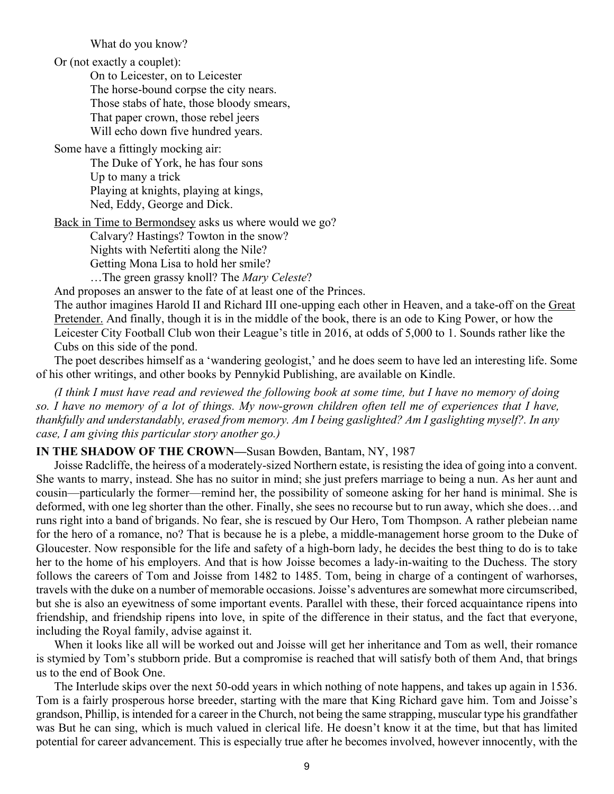What do you know?

Or (not exactly a couplet):

On to Leicester, on to Leicester The horse-bound corpse the city nears. Those stabs of hate, those bloody smears, That paper crown, those rebel jeers Will echo down five hundred years.

Some have a fittingly mocking air:

The Duke of York, he has four sons Up to many a trick Playing at knights, playing at kings, Ned, Eddy, George and Dick.

Back in Time to Bermondsey asks us where would we go?

Calvary? Hastings? Towton in the snow?

Nights with Nefertiti along the Nile?

Getting Mona Lisa to hold her smile?

…The green grassy knoll? The *Mary Celeste*?

And proposes an answer to the fate of at least one of the Princes.

The author imagines Harold II and Richard III one-upping each other in Heaven, and a take-off on the Great Pretender. And finally, though it is in the middle of the book, there is an ode to King Power, or how the Leicester City Football Club won their League's title in 2016, at odds of 5,000 to 1. Sounds rather like the Cubs on this side of the pond.

The poet describes himself as a 'wandering geologist,' and he does seem to have led an interesting life. Some of his other writings, and other books by Pennykid Publishing, are available on Kindle.

*(I think I must have read and reviewed the following book at some time, but I have no memory of doing so. I have no memory of a lot of things. My now-grown children often tell me of experiences that I have, thankfully and understandably, erased from memory. Am I being gaslighted? Am I gaslighting myself?. In any case, I am giving this particular story another go.)*

#### **IN THE SHADOW OF THE CROWN—**Susan Bowden, Bantam, NY, 1987

Joisse Radcliffe, the heiress of a moderately-sized Northern estate, is resisting the idea of going into a convent. She wants to marry, instead. She has no suitor in mind; she just prefers marriage to being a nun. As her aunt and cousin—particularly the former—remind her, the possibility of someone asking for her hand is minimal. She is deformed, with one leg shorter than the other. Finally, she sees no recourse but to run away, which she does…and runs right into a band of brigands. No fear, she is rescued by Our Hero, Tom Thompson. A rather plebeian name for the hero of a romance, no? That is because he is a plebe, a middle-management horse groom to the Duke of Gloucester. Now responsible for the life and safety of a high-born lady, he decides the best thing to do is to take her to the home of his employers. And that is how Joisse becomes a lady-in-waiting to the Duchess. The story follows the careers of Tom and Joisse from 1482 to 1485. Tom, being in charge of a contingent of warhorses, travels with the duke on a number of memorable occasions. Joisse's adventures are somewhat more circumscribed, but she is also an eyewitness of some important events. Parallel with these, their forced acquaintance ripens into friendship, and friendship ripens into love, in spite of the difference in their status, and the fact that everyone, including the Royal family, advise against it.

When it looks like all will be worked out and Joisse will get her inheritance and Tom as well, their romance is stymied by Tom's stubborn pride. But a compromise is reached that will satisfy both of them And, that brings us to the end of Book One.

The Interlude skips over the next 50-odd years in which nothing of note happens, and takes up again in 1536. Tom is a fairly prosperous horse breeder, starting with the mare that King Richard gave him. Tom and Joisse's grandson, Phillip, is intended for a career in the Church, not being the same strapping, muscular type his grandfather was But he can sing, which is much valued in clerical life. He doesn't know it at the time, but that has limited potential for career advancement. This is especially true after he becomes involved, however innocently, with the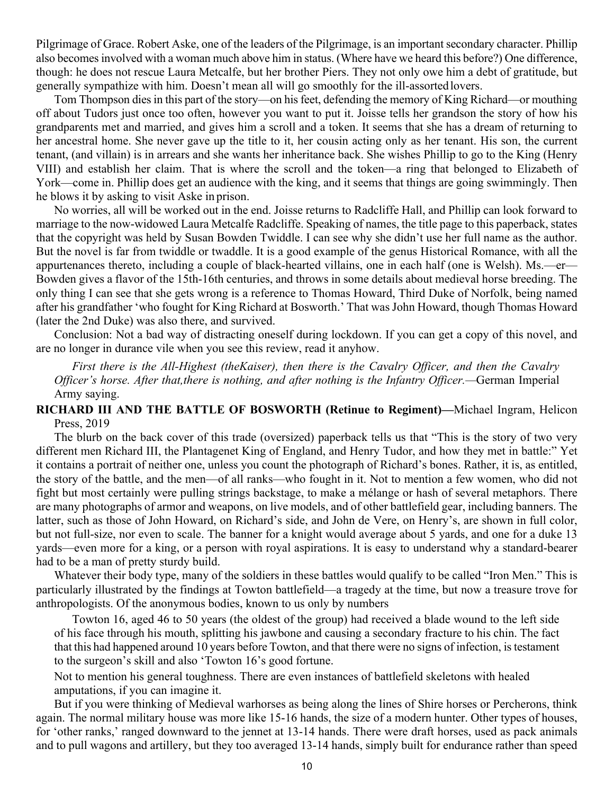Pilgrimage of Grace. Robert Aske, one of the leaders of the Pilgrimage, is an important secondary character. Phillip also becomes involved with a woman much above him in status. (Where have we heard this before?) One difference, though: he does not rescue Laura Metcalfe, but her brother Piers. They not only owe him a debt of gratitude, but generally sympathize with him. Doesn't mean all will go smoothly for the ill-assorted lovers.

Tom Thompson dies in this part of the story—on his feet, defending the memory of King Richard—or mouthing off about Tudors just once too often, however you want to put it. Joisse tells her grandson the story of how his grandparents met and married, and gives him a scroll and a token. It seems that she has a dream of returning to her ancestral home. She never gave up the title to it, her cousin acting only as her tenant. His son, the current tenant, (and villain) is in arrears and she wants her inheritance back. She wishes Phillip to go to the King (Henry VIII) and establish her claim. That is where the scroll and the token—a ring that belonged to Elizabeth of York—come in. Phillip does get an audience with the king, and it seems that things are going swimmingly. Then he blows it by asking to visit Aske in prison.

No worries, all will be worked out in the end. Joisse returns to Radcliffe Hall, and Phillip can look forward to marriage to the now-widowed Laura Metcalfe Radcliffe. Speaking of names, the title page to this paperback, states that the copyright was held by Susan Bowden Twiddle. I can see why she didn't use her full name as the author. But the novel is far from twiddle or twaddle. It is a good example of the genus Historical Romance, with all the appurtenances thereto, including a couple of black-hearted villains, one in each half (one is Welsh). Ms.—er— Bowden gives a flavor of the 15th-16th centuries, and throws in some details about medieval horse breeding. The only thing I can see that she gets wrong is a reference to Thomas Howard, Third Duke of Norfolk, being named after his grandfather 'who fought for King Richard at Bosworth.' That was John Howard, though Thomas Howard (later the 2nd Duke) was also there, and survived.

Conclusion: Not a bad way of distracting oneself during lockdown. If you can get a copy of this novel, and are no longer in durance vile when you see this review, read it anyhow.

*First there is the All-Highest (theKaiser), then there is the Cavalry Officer, and then the Cavalry Officer's horse. After that,there is nothing, and after nothing is the Infantry Officer.—*German Imperial Army saying.

### **RICHARD III AND THE BATTLE OF BOSWORTH (Retinue to Regiment)—**Michael Ingram, Helicon Press, 2019

The blurb on the back cover of this trade (oversized) paperback tells us that "This is the story of two very different men Richard III, the Plantagenet King of England, and Henry Tudor, and how they met in battle:" Yet it contains a portrait of neither one, unless you count the photograph of Richard's bones. Rather, it is, as entitled, the story of the battle, and the men—of all ranks—who fought in it. Not to mention a few women, who did not fight but most certainly were pulling strings backstage, to make a mélange or hash of several metaphors. There are many photographs of armor and weapons, on live models, and of other battlefield gear, including banners. The latter, such as those of John Howard, on Richard's side, and John de Vere, on Henry's, are shown in full color, but not full-size, nor even to scale. The banner for a knight would average about 5 yards, and one for a duke 13 yards—even more for a king, or a person with royal aspirations. It is easy to understand why a standard-bearer had to be a man of pretty sturdy build.

Whatever their body type, many of the soldiers in these battles would qualify to be called "Iron Men." This is particularly illustrated by the findings at Towton battlefield—a tragedy at the time, but now a treasure trove for anthropologists. Of the anonymous bodies, known to us only by numbers

Towton 16, aged 46 to 50 years (the oldest of the group) had received a blade wound to the left side of his face through his mouth, splitting his jawbone and causing a secondary fracture to his chin. The fact that this had happened around 10 years before Towton, and that there were no signs of infection, is testament to the surgeon's skill and also 'Towton 16's good fortune.

Not to mention his general toughness. There are even instances of battlefield skeletons with healed amputations, if you can imagine it.

But if you were thinking of Medieval warhorses as being along the lines of Shire horses or Percherons, think again. The normal military house was more like 15-16 hands, the size of a modern hunter. Other types of houses, for 'other ranks,' ranged downward to the jennet at 13-14 hands. There were draft horses, used as pack animals and to pull wagons and artillery, but they too averaged 13-14 hands, simply built for endurance rather than speed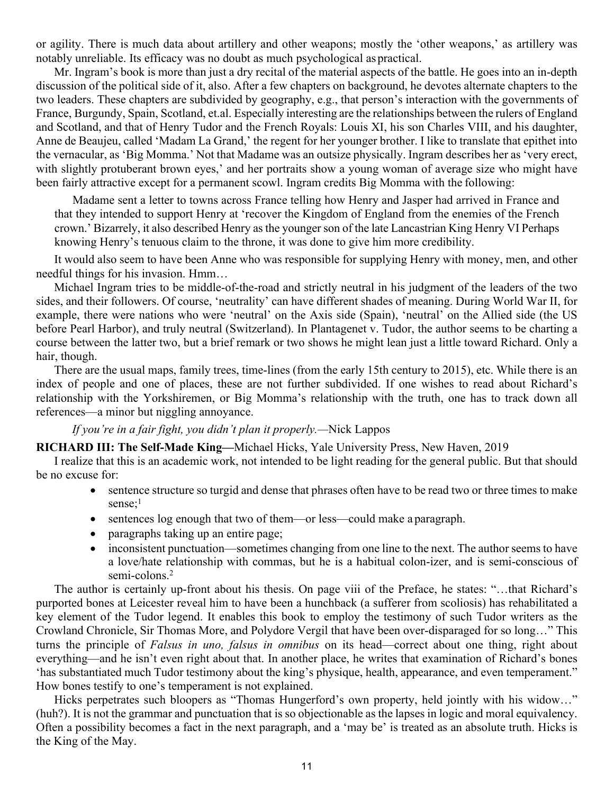or agility. There is much data about artillery and other weapons; mostly the 'other weapons,' as artillery was notably unreliable. Its efficacy was no doubt as much psychological as practical.

Mr. Ingram's book is more than just a dry recital of the material aspects of the battle. He goes into an in-depth discussion of the political side of it, also. After a few chapters on background, he devotes alternate chapters to the two leaders. These chapters are subdivided by geography, e.g., that person's interaction with the governments of France, Burgundy, Spain, Scotland, et.al. Especially interesting are the relationships between the rulers of England and Scotland, and that of Henry Tudor and the French Royals: Louis XI, his son Charles VIII, and his daughter, Anne de Beaujeu, called 'Madam La Grand,' the regent for her younger brother. I like to translate that epithet into the vernacular, as 'Big Momma.' Not that Madame was an outsize physically. Ingram describes her as 'very erect, with slightly protuberant brown eyes,' and her portraits show a young woman of average size who might have been fairly attractive except for a permanent scowl. Ingram credits Big Momma with the following:

Madame sent a letter to towns across France telling how Henry and Jasper had arrived in France and that they intended to support Henry at 'recover the Kingdom of England from the enemies of the French crown.' Bizarrely, it also described Henry as the younger son of the late Lancastrian King Henry VI Perhaps knowing Henry's tenuous claim to the throne, it was done to give him more credibility.

It would also seem to have been Anne who was responsible for supplying Henry with money, men, and other needful things for his invasion. Hmm…

Michael Ingram tries to be middle-of-the-road and strictly neutral in his judgment of the leaders of the two sides, and their followers. Of course, 'neutrality' can have different shades of meaning. During World War II, for example, there were nations who were 'neutral' on the Axis side (Spain), 'neutral' on the Allied side (the US before Pearl Harbor), and truly neutral (Switzerland). In Plantagenet v. Tudor, the author seems to be charting a course between the latter two, but a brief remark or two shows he might lean just a little toward Richard. Only a hair, though.

There are the usual maps, family trees, time-lines (from the early 15th century to 2015), etc. While there is an index of people and one of places, these are not further subdivided. If one wishes to read about Richard's relationship with the Yorkshiremen, or Big Momma's relationship with the truth, one has to track down all references—a minor but niggling annoyance.

#### *If you're in a fair fight, you didn't plan it properly.—*Nick Lappos

**RICHARD III: The Self-Made King—**Michael Hicks, Yale University Press, New Haven, 2019

I realize that this is an academic work, not intended to be light reading for the general public. But that should be no excuse for:

- � sentence structure so turgid and dense that phrases often have to be read two or three times to make sense;<sup>1</sup>
- sentences log enough that two of them—or less—could make a paragraph.
- paragraphs taking up an entire page;
- inconsistent punctuation—sometimes changing from one line to the next. The author seems to have a love/hate relationship with commas, but he is a habitual colon-izer, and is semi-conscious of semi-colons.<sup>2</sup>

The author is certainly up-front about his thesis. On page viii of the Preface, he states: "…that Richard's purported bones at Leicester reveal him to have been a hunchback (a sufferer from scoliosis) has rehabilitated a key element of the Tudor legend. It enables this book to employ the testimony of such Tudor writers as the Crowland Chronicle, Sir Thomas More, and Polydore Vergil that have been over-disparaged for so long…" This turns the principle of *Falsus in uno, falsus in omnibus* on its head—correct about one thing, right about everything—and he isn't even right about that. In another place, he writes that examination of Richard's bones 'has substantiated much Tudor testimony about the king's physique, health, appearance, and even temperament." How bones testify to one's temperament is not explained.

Hicks perpetrates such bloopers as "Thomas Hungerford's own property, held jointly with his widow..." (huh?). It is not the grammar and punctuation that is so objectionable as the lapses in logic and moral equivalency. Often a possibility becomes a fact in the next paragraph, and a 'may be' is treated as an absolute truth. Hicks is the King of the May.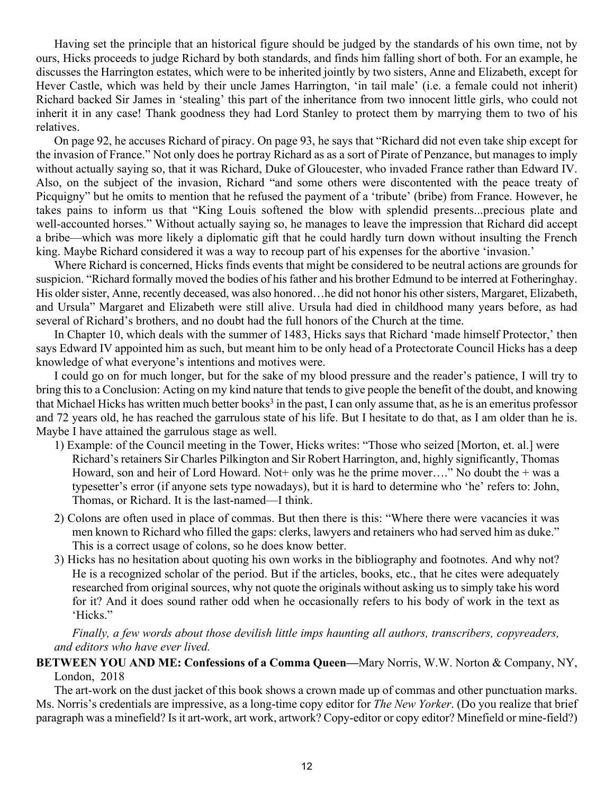Having set the principle that an historical figure should be judged by the standards of his own time, not by ours, Hicks proceeds to judge Richard by both standards, and finds him falling short of both. For an example, he discusses the Harrington estates, which were to be inherited jointly by two sisters, Anne and Elizabeth, except for Hever Castle, which was held by their uncle James Harrington, 'in tail male' (i.e. a female could not inherit) Richard backed Sir James in 'stealing' this part of the inheritance from two innocent little girls, who could not inherit it in any case! Thank goodness they had Lord Stanley to protect them by marrying them to two of his relatives.

On page 92, he accuses Richard of piracy. On page 93, he says that "Richard did not even take ship except for the invasion of France." Not only does he portray Richard as as a sort of Pirate of Penzance, but manages to imply without actually saying so, that it was Richard, Duke of Gloucester, who invaded France rather than Edward IV. Also, on the subject of the invasion, Richard "and some others were discontented with the peace treaty of Picquigny" but he omits to mention that he refused the payment of a 'tribute' (bribe) from France. However, he takes pains to inform us that "King Louis softened the blow with splendid presents...precious plate and well-accounted horses." Without actually saying so, he manages to leave the impression that Richard did accept a bribe—which was more likely a diplomatic gift that he could hardly turn down without insulting the French king. Maybe Richard considered it was a way to recoup part of his expenses for the abortive 'invasion.'

Where Richard is concerned, Hicks finds events that might be considered to be neutral actions are grounds for suspicion. "Richard formally moved the bodies of his father and his brother Edmund to be interred at Fotheringhay. His older sister, Anne, recently deceased, was also honored…he did not honor his other sisters, Margaret, Elizabeth, and Ursula" Margaret and Elizabeth were still alive. Ursula had died in childhood many years before, as had several of Richard's brothers, and no doubt had the full honors of the Church at the time.

In Chapter 10, which deals with the summer of 1483, Hicks says that Richard 'made himself Protector,' then says Edward IV appointed him as such, but meant him to be only head of a Protectorate Council Hicks has a deep knowledge of what everyone's intentions and motives were.

I could go on for much longer, but for the sake of my blood pressure and the reader's patience, I will try to bring this to a Conclusion: Acting on my kind nature that tends to give people the benefit of the doubt, and knowing that Michael Hicks has written much better books<sup>3</sup> in the past, I can only assume that, as he is an emeritus professor and 72 years old, he has reached the garrulous state of his life. But I hesitate to do that, as I am older than he is. Maybe I have attained the garrulous stage as well.

- 1) Example: of the Council meeting in the Tower, Hicks writes: "Those who seized [Morton, et. al.] were Richard's retainers Sir Charles Pilkington and Sir Robert Harrington, and, highly significantly, Thomas Howard, son and heir of Lord Howard. Not + only was he the prime mover...." No doubt the  $+$  was a typesetter's error (if anyone sets type nowadays), but it is hard to determine who 'he' refers to: John, Thomas, or Richard. It is the last-named—I think.
- 2) Colons are often used in place of commas. But then there is this: "Where there were vacancies it was men known to Richard who filled the gaps: clerks, lawyers and retainers who had served him as duke." This is a correct usage of colons, so he does know better.
- 3) Hicks has no hesitation about quoting his own works in the bibliography and footnotes. And why not? He is a recognized scholar of the period. But if the articles, books, etc., that he cites were adequately researched from original sources, why not quote the originals without asking us to simply take his word for it? And it does sound rather odd when he occasionally refers to his body of work in the text as 'Hicks."

*Finally, a few words about those devilish little imps haunting all authors, transcribers, copyreaders, and editors who have ever lived.*

**BETWEEN YOU AND ME: Confessions of a Comma Queen—**Mary Norris, W.W. Norton & Company, NY, London, 2018

The art-work on the dust jacket of this book shows a crown made up of commas and other punctuation marks. Ms. Norris's credentials are impressive, as a long-time copy editor for *The New Yorker*. (Do you realize that brief paragraph was a minefield? Is it art-work, art work, artwork? Copy-editor or copy editor? Minefield or mine-field?)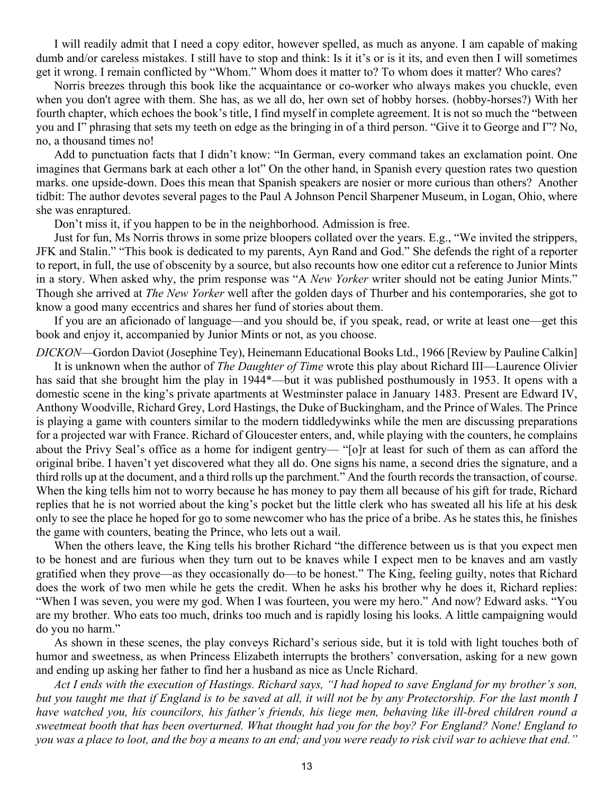I will readily admit that I need a copy editor, however spelled, as much as anyone. I am capable of making dumb and/or careless mistakes. I still have to stop and think: Is it it's or is it its, and even then I will sometimes get it wrong. I remain conflicted by "Whom." Whom does it matter to? To whom does it matter? Who cares?

Norris breezes through this book like the acquaintance or co-worker who always makes you chuckle, even when you don't agree with them. She has, as we all do, her own set of hobby horses. (hobby-horses?) With her fourth chapter, which echoes the book's title, I find myself in complete agreement. It is not so much the "between you and I" phrasing that sets my teeth on edge as the bringing in of a third person. "Give it to George and I"? No, no, a thousand times no!

Add to punctuation facts that I didn't know: "In German, every command takes an exclamation point. One imagines that Germans bark at each other a lot" On the other hand, in Spanish every question rates two question marks. one upside-down. Does this mean that Spanish speakers are nosier or more curious than others? Another tidbit: The author devotes several pages to the Paul A Johnson Pencil Sharpener Museum, in Logan, Ohio, where she was enraptured.

Don't miss it, if you happen to be in the neighborhood. Admission is free.

Just for fun, Ms Norris throws in some prize bloopers collated over the years. E.g., "We invited the strippers, JFK and Stalin." "This book is dedicated to my parents, Ayn Rand and God." She defends the right of a reporter to report, in full, the use of obscenity by a source, but also recounts how one editor cut a reference to Junior Mints in a story. When asked why, the prim response was "A *New Yorker* writer should not be eating Junior Mints." Though she arrived at *The New Yorker* well after the golden days of Thurber and his contemporaries, she got to know a good many eccentrics and shares her fund of stories about them.

If you are an aficionado of language—and you should be, if you speak, read, or write at least one—get this book and enjoy it, accompanied by Junior Mints or not, as you choose.

*DICKON*—Gordon Daviot (Josephine Tey), Heinemann Educational Books Ltd., 1966 [Review by Pauline Calkin]

It is unknown when the author of *The Daughter of Time* wrote this play about Richard III—Laurence Olivier has said that she brought him the play in 1944\*—but it was published posthumously in 1953. It opens with a domestic scene in the king's private apartments at Westminster palace in January 1483. Present are Edward IV, Anthony Woodville, Richard Grey, Lord Hastings, the Duke of Buckingham, and the Prince of Wales. The Prince is playing a game with counters similar to the modern tiddledywinks while the men are discussing preparations for a projected war with France. Richard of Gloucester enters, and, while playing with the counters, he complains about the Privy Seal's office as a home for indigent gentry— "[o]r at least for such of them as can afford the original bribe. I haven't yet discovered what they all do. One signs his name, a second dries the signature, and a third rolls up at the document, and a third rolls up the parchment." And the fourth records the transaction, of course. When the king tells him not to worry because he has money to pay them all because of his gift for trade, Richard replies that he is not worried about the king's pocket but the little clerk who has sweated all his life at his desk only to see the place he hoped for go to some newcomer who has the price of a bribe. As he states this, he finishes the game with counters, beating the Prince, who lets out a wail.

When the others leave, the King tells his brother Richard "the difference between us is that you expect men to be honest and are furious when they turn out to be knaves while I expect men to be knaves and am vastly gratified when they prove—as they occasionally do—to be honest." The King, feeling guilty, notes that Richard does the work of two men while he gets the credit. When he asks his brother why he does it, Richard replies: "When I was seven, you were my god. When I was fourteen, you were my hero." And now? Edward asks. "You are my brother. Who eats too much, drinks too much and is rapidly losing his looks. A little campaigning would do you no harm."

As shown in these scenes, the play conveys Richard's serious side, but it is told with light touches both of humor and sweetness, as when Princess Elizabeth interrupts the brothers' conversation, asking for a new gown and ending up asking her father to find her a husband as nice as Uncle Richard.

*Act I ends with the execution of Hastings. Richard says, "I had hoped to save England for my brother's son, but you taught me that if England is to be saved at all, it will not be by any Protectorship. For the last month I have watched you, his councilors, his father's friends, his liege men, behaving like ill-bred children round a sweetmeat booth that has been overturned. What thought had you for the boy? For England? None! England to you was a place to loot, and the boy a means to an end; and you were ready to risk civil war to achieve that end."*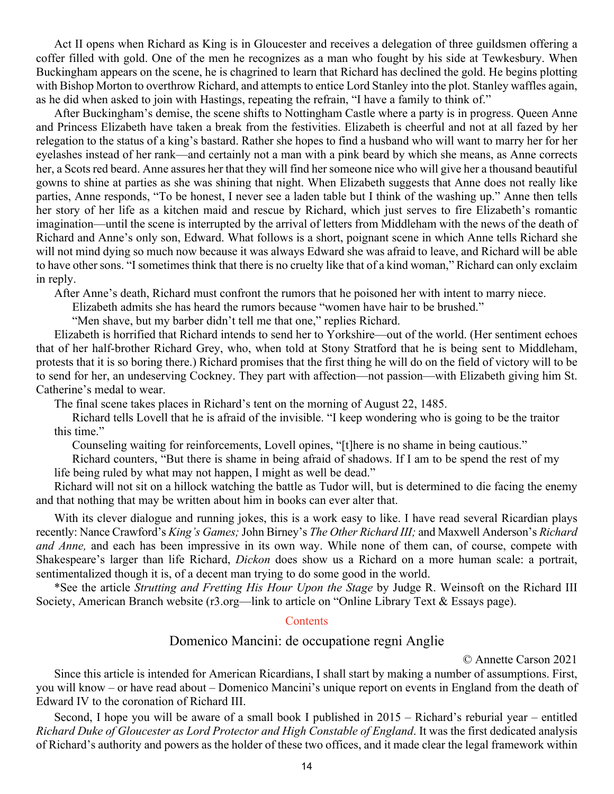<span id="page-13-0"></span>Act II opens when Richard as King is in Gloucester and receives a delegation of three guildsmen offering a coffer filled with gold. One of the men he recognizes as a man who fought by his side at Tewkesbury. When Buckingham appears on the scene, he is chagrined to learn that Richard has declined the gold. He begins plotting with Bishop Morton to overthrow Richard, and attempts to entice Lord Stanley into the plot. Stanley waffles again, as he did when asked to join with Hastings, repeating the refrain, "I have a family to think of."

After Buckingham's demise, the scene shifts to Nottingham Castle where a party is in progress. Queen Anne and Princess Elizabeth have taken a break from the festivities. Elizabeth is cheerful and not at all fazed by her relegation to the status of a king's bastard. Rather she hopes to find a husband who will want to marry her for her eyelashes instead of her rank—and certainly not a man with a pink beard by which she means, as Anne corrects her, a Scots red beard. Anne assures her that they will find her someone nice who will give her a thousand beautiful gowns to shine at parties as she was shining that night. When Elizabeth suggests that Anne does not really like parties, Anne responds, "To be honest, I never see a laden table but I think of the washing up." Anne then tells her story of her life as a kitchen maid and rescue by Richard, which just serves to fire Elizabeth's romantic imagination—until the scene is interrupted by the arrival of letters from Middleham with the news of the death of Richard and Anne's only son, Edward. What follows is a short, poignant scene in which Anne tells Richard she will not mind dying so much now because it was always Edward she was afraid to leave, and Richard will be able to have other sons. "I sometimes think that there is no cruelty like that of a kind woman," Richard can only exclaim in reply.

After Anne's death, Richard must confront the rumors that he poisoned her with intent to marry niece.

Elizabeth admits she has heard the rumors because "women have hair to be brushed."

"Men shave, but my barber didn't tell me that one," replies Richard.

Elizabeth is horrified that Richard intends to send her to Yorkshire—out of the world. (Her sentiment echoes that of her half-brother Richard Grey, who, when told at Stony Stratford that he is being sent to Middleham, protests that it is so boring there.) Richard promises that the first thing he will do on the field of victory will to be to send for her, an undeserving Cockney. They part with affection—not passion—with Elizabeth giving him St. Catherine's medal to wear.

The final scene takes places in Richard's tent on the morning of August 22, 1485.

Richard tells Lovell that he is afraid of the invisible. "I keep wondering who is going to be the traitor this time."

Counseling waiting for reinforcements, Lovell opines, "[t]here is no shame in being cautious."

Richard counters, "But there is shame in being afraid of shadows. If I am to be spend the rest of my life being ruled by what may not happen, I might as well be dead."

Richard will not sit on a hillock watching the battle as Tudor will, but is determined to die facing the enemy and that nothing that may be written about him in books can ever alter that.

With its clever dialogue and running jokes, this is a work easy to like. I have read several Ricardian plays recently: Nance Crawford's *King's Games;* John Birney's *The Other Richard III;* and Maxwell Anderson's *Richard and Anne,* and each has been impressive in its own way. While none of them can, of course, compete with Shakespeare's larger than life Richard, *Dickon* does show us a Richard on a more human scale: a portrait, sentimentalized though it is, of a decent man trying to do some good in the world.

\*See the article *Strutting and Fretting His Hour Upon the Stage* by Judge R. Weinsoft on the Richard III Society, American Branch website (r3.org—link to article on "Online Library Text & Essays page).

#### **[Contents](#page-0-0)**

# Domenico Mancini: de occupatione regni Anglie

© Annette Carson 2021

Since this article is intended for American Ricardians, I shall start by making a number of assumptions. First, you will know – or have read about – Domenico Mancini's unique report on events in England from the death of Edward IV to the coronation of Richard III.

Second, I hope you will be aware of a small book I published in 2015 – Richard's reburial year – entitled *Richard Duke of Gloucester as Lord Protector and High Constable of England*. It was the first dedicated analysis of Richard's authority and powers as the holder of these two offices, and it made clear the legal framework within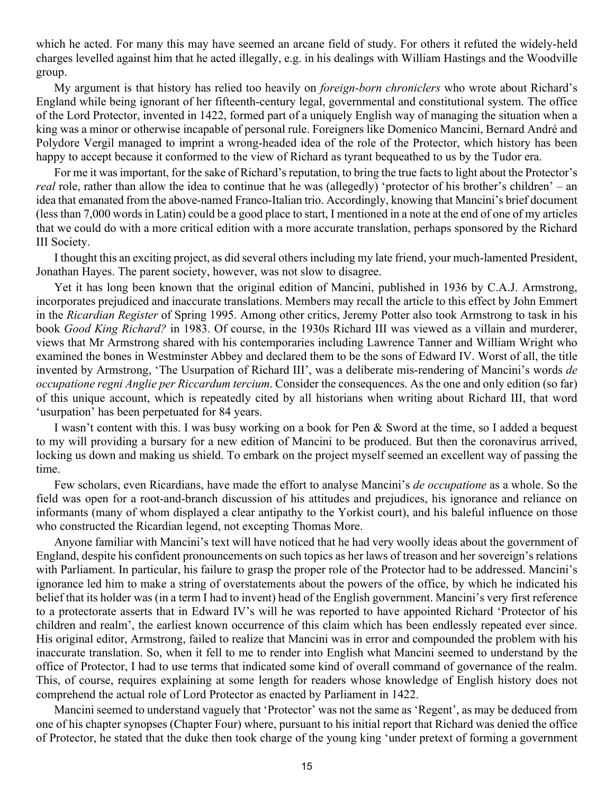which he acted. For many this may have seemed an arcane field of study. For others it refuted the widely-held charges levelled against him that he acted illegally, e.g. in his dealings with William Hastings and the Woodville group.

My argument is that history has relied too heavily on *foreign-born chroniclers* who wrote about Richard's England while being ignorant of her fifteenth-century legal, governmental and constitutional system. The office of the Lord Protector, invented in 1422, formed part of a uniquely English way of managing the situation when a king was a minor or otherwise incapable of personal rule. Foreigners like Domenico Mancini, Bernard André and Polydore Vergil managed to imprint a wrong-headed idea of the role of the Protector, which history has been happy to accept because it conformed to the view of Richard as tyrant bequeathed to us by the Tudor era.

For me it was important, for the sake of Richard's reputation, to bring the true facts to light about the Protector's *real* role, rather than allow the idea to continue that he was (allegedly) 'protector of his brother's children' – an idea that emanated from the above-named Franco-Italian trio. Accordingly, knowing that Mancini's brief document (less than 7,000 words in Latin) could be a good place to start, I mentioned in a note at the end of one of my articles that we could do with a more critical edition with a more accurate translation, perhaps sponsored by the Richard III Society.

I thought this an exciting project, as did several others including my late friend, your much-lamented President, Jonathan Hayes. The parent society, however, was not slow to disagree.

Yet it has long been known that the original edition of Mancini, published in 1936 by C.A.J. Armstrong, incorporates prejudiced and inaccurate translations. Members may recall the article to this effect by John Emmert in the *Ricardian Register* of Spring 1995. Among other critics, Jeremy Potter also took Armstrong to task in his book *Good King Richard?* in 1983. Of course, in the 1930s Richard III was viewed as a villain and murderer, views that Mr Armstrong shared with his contemporaries including Lawrence Tanner and William Wright who examined the bones in Westminster Abbey and declared them to be the sons of Edward IV. Worst of all, the title invented by Armstrong, 'The Usurpation of Richard III', was a deliberate mis-rendering of Mancini's words *de occupatione regni Anglie per Riccardum tercium*. Consider the consequences. As the one and only edition (so far) of this unique account, which is repeatedly cited by all historians when writing about Richard III, that word 'usurpation' has been perpetuated for 84 years.

I wasn't content with this. I was busy working on a book for Pen & Sword at the time, so I added a bequest to my will providing a bursary for a new edition of Mancini to be produced. But then the coronavirus arrived, locking us down and making us shield. To embark on the project myself seemed an excellent way of passing the time.

Few scholars, even Ricardians, have made the effort to analyse Mancini's *de occupatione* as a whole. So the field was open for a root-and-branch discussion of his attitudes and prejudices, his ignorance and reliance on informants (many of whom displayed a clear antipathy to the Yorkist court), and his baleful influence on those who constructed the Ricardian legend, not excepting Thomas More.

Anyone familiar with Mancini's text will have noticed that he had very woolly ideas about the government of England, despite his confident pronouncements on such topics as her laws of treason and her sovereign's relations with Parliament. In particular, his failure to grasp the proper role of the Protector had to be addressed. Mancini's ignorance led him to make a string of overstatements about the powers of the office, by which he indicated his belief that its holder was (in a term I had to invent) head of the English government. Mancini's very first reference to a protectorate asserts that in Edward IV's will he was reported to have appointed Richard 'Protector of his children and realm', the earliest known occurrence of this claim which has been endlessly repeated ever since. His original editor, Armstrong, failed to realize that Mancini was in error and compounded the problem with his inaccurate translation. So, when it fell to me to render into English what Mancini seemed to understand by the office of Protector, I had to use terms that indicated some kind of overall command of governance of the realm. This, of course, requires explaining at some length for readers whose knowledge of English history does not comprehend the actual role of Lord Protector as enacted by Parliament in 1422.

Mancini seemed to understand vaguely that 'Protector' was not the same as 'Regent', as may be deduced from one of his chapter synopses (Chapter Four) where, pursuant to his initial report that Richard was denied the office of Protector, he stated that the duke then took charge of the young king 'under pretext of forming a government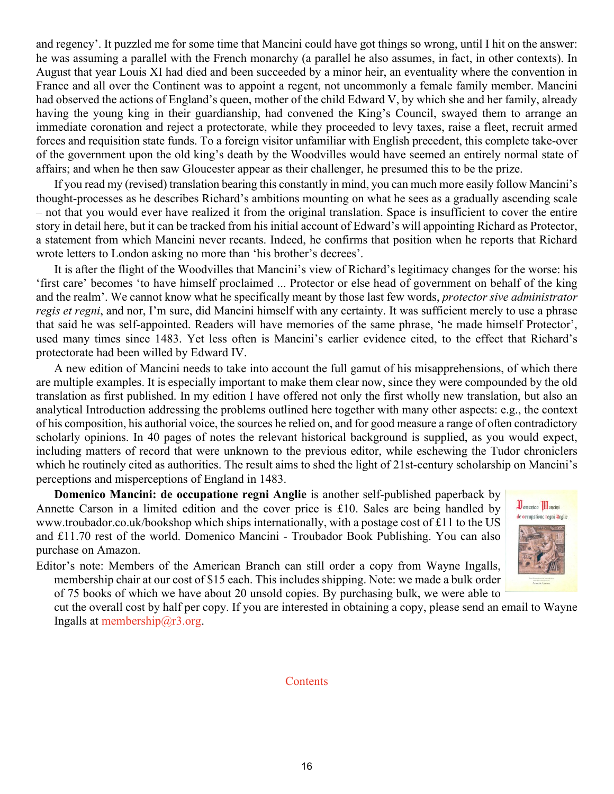and regency'. It puzzled me for some time that Mancini could have got things so wrong, until I hit on the answer: he was assuming a parallel with the French monarchy (a parallel he also assumes, in fact, in other contexts). In August that year Louis XI had died and been succeeded by a minor heir, an eventuality where the convention in France and all over the Continent was to appoint a regent, not uncommonly a female family member. Mancini had observed the actions of England's queen, mother of the child Edward V, by which she and her family, already having the young king in their guardianship, had convened the King's Council, swayed them to arrange an immediate coronation and reject a protectorate, while they proceeded to levy taxes, raise a fleet, recruit armed forces and requisition state funds. To a foreign visitor unfamiliar with English precedent, this complete take-over of the government upon the old king's death by the Woodvilles would have seemed an entirely normal state of affairs; and when he then saw Gloucester appear as their challenger, he presumed this to be the prize.

If you read my (revised) translation bearing this constantly in mind, you can much more easily follow Mancini's thought-processes as he describes Richard's ambitions mounting on what he sees as a gradually ascending scale – not that you would ever have realized it from the original translation. Space is insufficient to cover the entire story in detail here, but it can be tracked from his initial account of Edward's will appointing Richard as Protector, a statement from which Mancini never recants. Indeed, he confirms that position when he reports that Richard wrote letters to London asking no more than 'his brother's decrees'.

It is after the flight of the Woodvilles that Mancini's view of Richard's legitimacy changes for the worse: his 'first care' becomes 'to have himself proclaimed ... Protector or else head of government on behalf of the king and the realm'. We cannot know what he specifically meant by those last few words, *protector sive administrator regis et regni*, and nor, I'm sure, did Mancini himself with any certainty. It was sufficient merely to use a phrase that said he was self-appointed. Readers will have memories of the same phrase, 'he made himself Protector', used many times since 1483. Yet less often is Mancini's earlier evidence cited, to the effect that Richard's protectorate had been willed by Edward IV.

A new edition of Mancini needs to take into account the full gamut of his misapprehensions, of which there are multiple examples. It is especially important to make them clear now, since they were compounded by the old translation as first published. In my edition I have offered not only the first wholly new translation, but also an analytical Introduction addressing the problems outlined here together with many other aspects: e.g., the context of his composition, his authorial voice, the sources he relied on, and for good measure a range of often contradictory scholarly opinions. In 40 pages of notes the relevant historical background is supplied, as you would expect, including matters of record that were unknown to the previous editor, while eschewing the Tudor chroniclers which he routinely cited as authorities. The result aims to shed the light of 21st-century scholarship on Mancini's perceptions and misperceptions of England in 1483.

**Domenico Mancini: de occupatione regni Anglie** is another self-published paperback by Annette Carson in a limited edition and the cover price is £10. Sales are being handled by www.troubador.co.uk/bookshop which ships internationally, with a postage cost of £11 to the US and £11.70 rest of the world. Domenico Mancini - Troubador Book Publishing. You can also purchase on Amazon.

Editor's note: Members of the American Branch can still order a copy from Wayne Ingalls, membership chair at our cost of \$15 each. This includes shipping. Note: we made a bulk order of 75 books of which we have about 20 unsold copies. By purchasing bulk, we were able to



cut the overall cost by half per copy. If you are interested in obtaining a copy, please send an email to Wayne Ingalls at membership $@r3.org$ .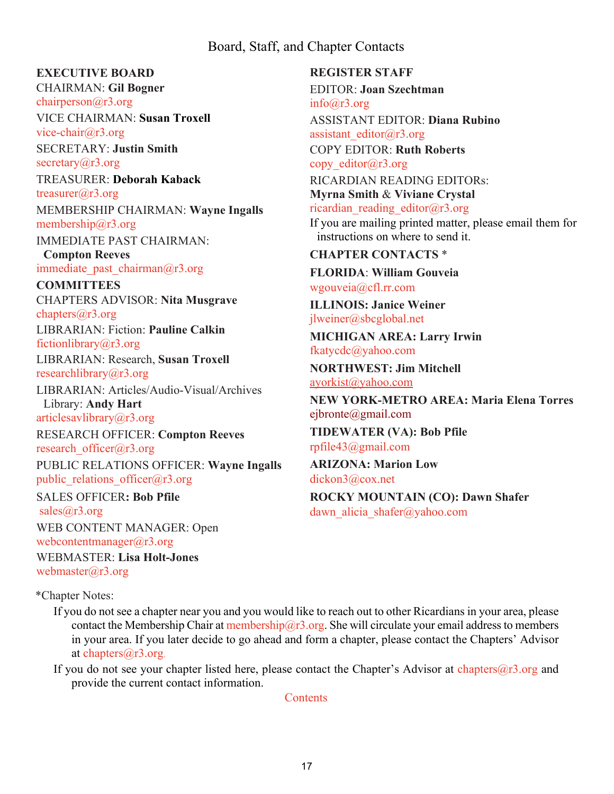# Board, Staff, and Chapter Contacts

#### <span id="page-16-0"></span>**EXECUTIVE BOARD**

CHAIRMAN: **Gil Bogner** [chairperson@r3.org](mailto:chairperson@r3.org)

VICE CHAIRMAN: **Susan Troxell** [vice-chair@r3.org](mailto:vice-chair@r3.org)

SECRETARY: **Justin Smith** secretary $(a)$ r3.org

TREASURER: **Deborah Kaback** [treasurer@r3.org](mailto:treasurer@r3.org) MEMBERSHIP CHAIRMAN: **Wayne Ingalls** [membership@r3.org](mailto:membership@r3.org)

IMMEDIATE PAST CHAIRMAN:

**Compton Reeves** immediate past chairman $@r3.org$ 

**COMMITTEES** CHAPTERS ADVISOR: **Nita Musgrave** [chapters@r3.org](mailto:chapters@r3.org) LIBRARIAN: Fiction: **Pauline Calkin** [fictionlibrary@r3.org](mailto:fictionlibrary@r3.org) LIBRARIAN: Research, **Susan Troxell** [researchlibrary@r3.org](mailto:researchlibrary@r3.org) LIBRARIAN: Articles/Audio-Visual/Archives

Library: **Andy Hart** [articlesavlibrary@r3.org](mailto:articlesavlibrary@r3.org)

RESEARCH OFFICER: **Compton Reeves** research officer@r3.org PUBLIC RELATIONS OFFICER: **Wayne Ingalls**

public relations officer@r3.org SALES OFFICER**: Bob Pfile** [sales@r3.org](mailto:sales@r3.org)

WEB CONTENT MANAGER: Open [webcontentmanager@r3.org](mailto:webcontentmanager@r3.org)

WEBMASTER: **Lisa Holt-Jones** webmaster $(a)$ r3.org

**REGISTER STAFF** EDITOR: **Joan Szechtman**  $info@r3.org$ ASSISTANT EDITOR: **Diana Rubino** [assistant\\_editor@r3.org](mailto:assistant_editor@r3.org) COPY EDITOR: **Ruth Roberts** copy editor $(a)$ r3.org RICARDIAN READING EDITORs: **Myrna Smith** & **Viviane Crystal** ricardian reading editor@r3.org If you are mailing printed matter, please email them for instructions on where to send it. **CHAPTER CONTACTS** \* **FLORIDA**: **William Gouveia**

[wgouveia@cfl.rr.com](mailto:wgouveia@cfl.rr.com)

**ILLINOIS: Janice Weiner** [jlweiner@sbcglobal.net](mailto:jlweiner@sbcglobal.net)

**MICHIGAN AREA: Larry Irwin** [fkatycdc@yahoo.com](mailto:fkatycdc@yahoo.com)

**NORTHWEST: Jim Mitchell** [ayorkist@yahoo.com](mailto:ayorkist@yahoo.com)

**NEW YORK-METRO AREA: Maria Elena Torres** [ejbronte@gmail.com](mailto:ejbronte@gmail.com) **TIDEWATER (VA): Bob Pfile**

[rpfile43@gmail.com](mailto:rpfile43@gmail.com)

**ARIZONA: Marion Low** [dickon3@cox.net](mailto:dickon3@cox.net) **ROCKY MOUNTAIN (CO): Dawn Shafer** dawn alicia shafer@yahoo.com

\*Chapter Notes:

If you do not see a chapter near you and you would like to reach out to other Ricardians in your area, please contact the Membership Chair at membership $@r3.$ org. She will circulate your email address to members in your area. If you later decide to go ahead and form a chapter, please contact the Chapters' Advisor a[t](mailto:chapters@r3.org.) chapters $(a)$ r3[.](mailto:chapters@r3.org.)org.

If you do not see your chapter listed here, please contact the Chapter's Advisor at chapters $(2r^3)$ .org and provide the current contact information.